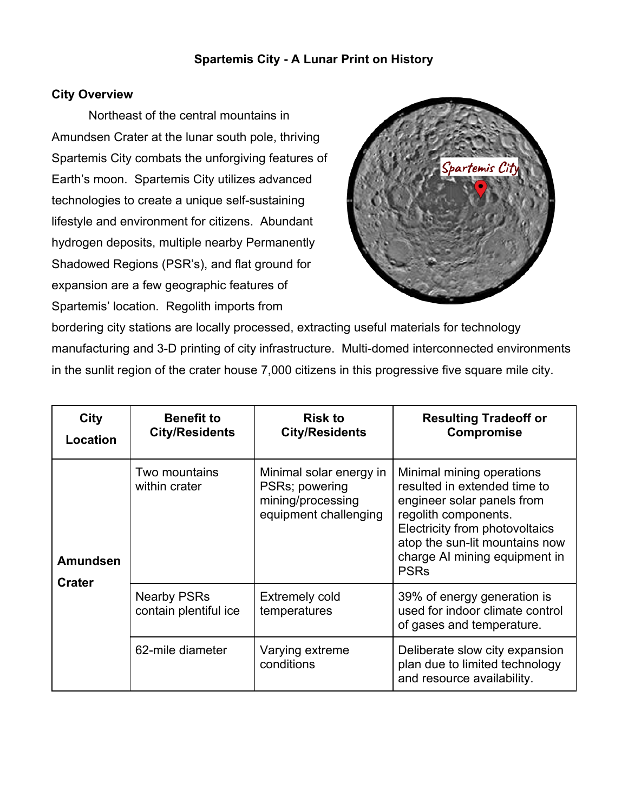# **Spartemis City - A Lunar Print on History**

# **City Overview**

Northeast of the central mountains in Amundsen Crater at the lunar south pole, thriving Spartemis City combats the unforgiving features of Earth's moon. Spartemis City utilizes advanced technologies to create a unique self-sustaining lifestyle and environment for citizens. Abundant hydrogen deposits, multiple nearby Permanently Shadowed Regions (PSR's), and flat ground for expansion are a few geographic features of Spartemis' location. Regolith imports from



bordering city stations are locally processed, extracting useful materials for technology manufacturing and 3-D printing of city infrastructure. Multi-domed interconnected environments in the sunlit region of the crater house 7,000 citizens in this progressive five square mile city.

| <b>City</b><br>Location          | <b>Benefit to</b><br><b>City/Residents</b>  | <b>Risk to</b><br><b>City/Residents</b>                                                 | <b>Resulting Tradeoff or</b><br><b>Compromise</b>                                                                                                                                                                                   |
|----------------------------------|---------------------------------------------|-----------------------------------------------------------------------------------------|-------------------------------------------------------------------------------------------------------------------------------------------------------------------------------------------------------------------------------------|
| <b>Amundsen</b><br><b>Crater</b> | Two mountains<br>within crater              | Minimal solar energy in<br>PSRs; powering<br>mining/processing<br>equipment challenging | Minimal mining operations<br>resulted in extended time to<br>engineer solar panels from<br>regolith components.<br>Electricity from photovoltaics<br>atop the sun-lit mountains now<br>charge AI mining equipment in<br><b>PSRs</b> |
|                                  | <b>Nearby PSRs</b><br>contain plentiful ice | <b>Extremely cold</b><br>temperatures                                                   | 39% of energy generation is<br>used for indoor climate control<br>of gases and temperature.                                                                                                                                         |
|                                  | 62-mile diameter                            | Varying extreme<br>conditions                                                           | Deliberate slow city expansion<br>plan due to limited technology<br>and resource availability.                                                                                                                                      |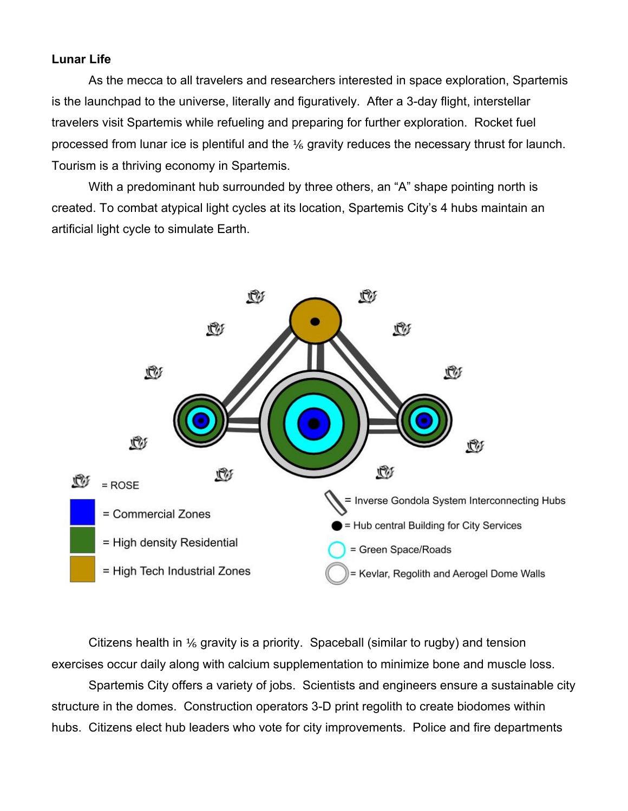## **Lunar Life**

As the mecca to all travelers and researchers interested in space exploration, Spartemis is the launchpad to the universe, literally and figuratively. After a 3-day flight, interstellar travelers visit Spartemis while refueling and preparing for further exploration. Rocket fuel processed from lunar ice is plentiful and the ⅙ gravity reduces the necessary thrust for launch. Tourism is a thriving economy in Spartemis.

With a predominant hub surrounded by three others, an "A" shape pointing north is created. To combat atypical light cycles at its location, Spartemis City's 4 hubs maintain an artificial light cycle to simulate Earth.



Citizens health in  $\frac{1}{6}$  gravity is a priority. Spaceball (similar to rugby) and tension exercises occur daily along with calcium supplementation to minimize bone and muscle loss.

Spartemis City offers a variety of jobs. Scientists and engineers ensure a sustainable city structure in the domes. Construction operators 3-D print regolith to create biodomes within hubs. Citizens elect hub leaders who vote for city improvements. Police and fire departments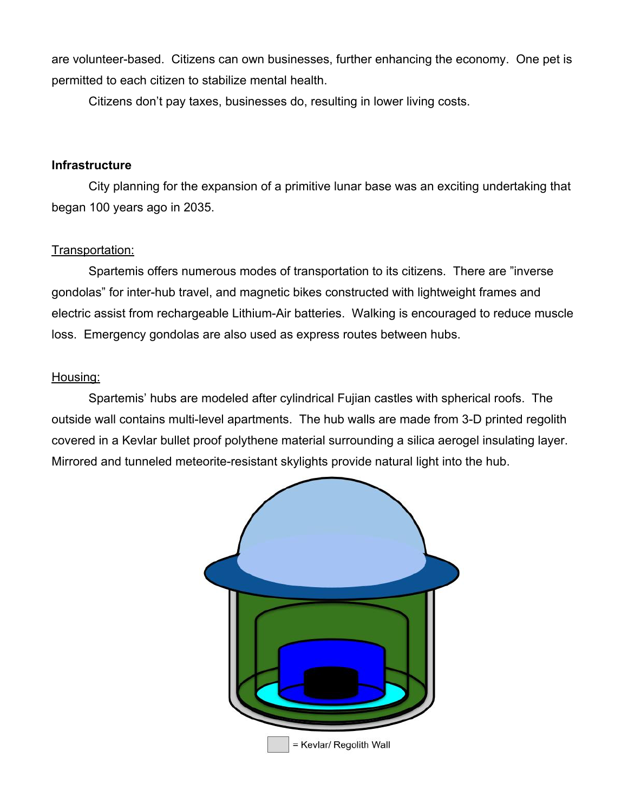are volunteer-based. Citizens can own businesses, further enhancing the economy. One pet is permitted to each citizen to stabilize mental health.

Citizens don't pay taxes, businesses do, resulting in lower living costs.

## **Infrastructure**

City planning for the expansion of a primitive lunar base was an exciting undertaking that began 100 years ago in 2035.

## Transportation:

Spartemis offers numerous modes of transportation to its citizens. There are "inverse gondolas" for inter-hub travel, and magnetic bikes constructed with lightweight frames and electric assist from rechargeable Lithium-Air batteries. Walking is encouraged to reduce muscle loss. Emergency gondolas are also used as express routes between hubs.

#### Housing:

Spartemis' hubs are modeled after cylindrical Fujian castles with spherical roofs. The outside wall contains multi-level apartments. The hub walls are made from 3-D printed regolith covered in a Kevlar bullet proof polythene material surrounding a silica aerogel insulating layer. Mirrored and tunneled meteorite-resistant skylights provide natural light into the hub.

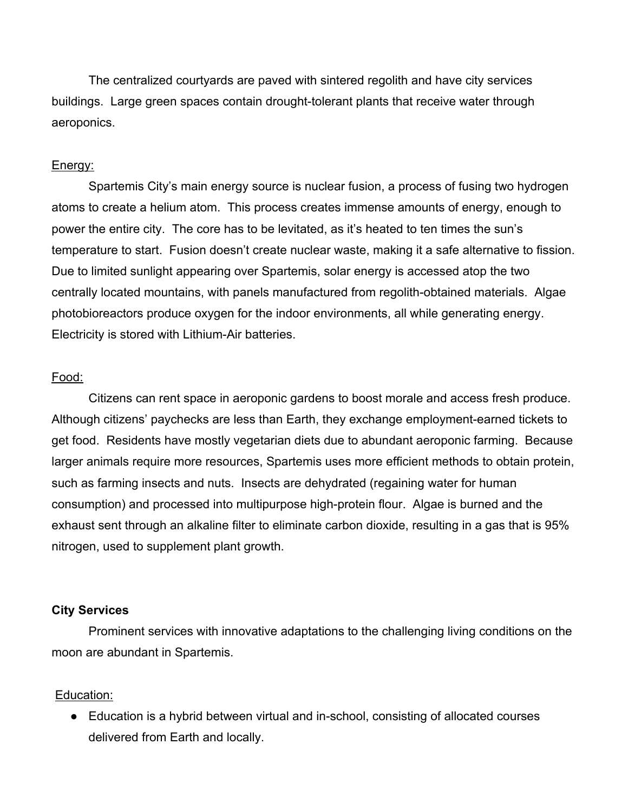The centralized courtyards are paved with sintered regolith and have city services buildings. Large green spaces contain drought-tolerant plants that receive water through aeroponics.

### Energy:

Spartemis City's main energy source is nuclear fusion, a process of fusing two hydrogen atoms to create a helium atom. This process creates immense amounts of energy, enough to power the entire city. The core has to be levitated, as it's heated to ten times the sun's temperature to start. Fusion doesn't create nuclear waste, making it a safe alternative to fission. Due to limited sunlight appearing over Spartemis, solar energy is accessed atop the two centrally located mountains, with panels manufactured from regolith-obtained materials. Algae photobioreactors produce oxygen for the indoor environments, all while generating energy. Electricity is stored with Lithium-Air batteries.

#### Food:

Citizens can rent space in aeroponic gardens to boost morale and access fresh produce. Although citizens' paychecks are less than Earth, they exchange employment-earned tickets to get food. Residents have mostly vegetarian diets due to abundant aeroponic farming. Because larger animals require more resources, Spartemis uses more efficient methods to obtain protein, such as farming insects and nuts. Insects are dehydrated (regaining water for human consumption) and processed into multipurpose high-protein flour. Algae is burned and the exhaust sent through an alkaline filter to eliminate carbon dioxide, resulting in a gas that is 95% nitrogen, used to supplement plant growth.

#### **City Services**

Prominent services with innovative adaptations to the challenging living conditions on the moon are abundant in Spartemis.

#### Education:

● Education is a hybrid between virtual and in-school, consisting of allocated courses delivered from Earth and locally.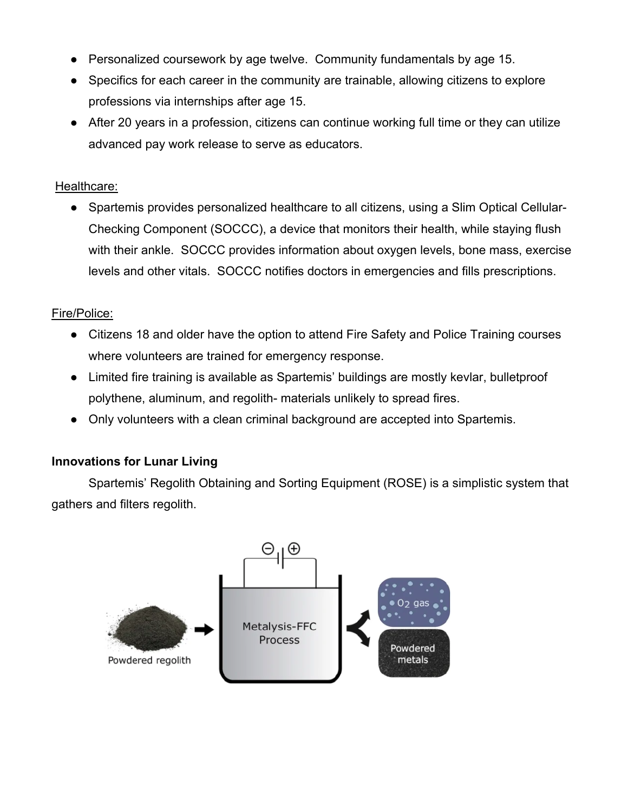- Personalized coursework by age twelve. Community fundamentals by age 15.
- Specifics for each career in the community are trainable, allowing citizens to explore professions via internships after age 15.
- After 20 years in a profession, citizens can continue working full time or they can utilize advanced pay work release to serve as educators.

## Healthcare:

● Spartemis provides personalized healthcare to all citizens, using a Slim Optical Cellular-Checking Component (SOCCC), a device that monitors their health, while staying flush with their ankle. SOCCC provides information about oxygen levels, bone mass, exercise levels and other vitals. SOCCC notifies doctors in emergencies and fills prescriptions.

# Fire/Police:

- Citizens 18 and older have the option to attend Fire Safety and Police Training courses where volunteers are trained for emergency response.
- Limited fire training is available as Spartemis' buildings are mostly kevlar, bulletproof polythene, aluminum, and regolith- materials unlikely to spread fires.
- Only volunteers with a clean criminal background are accepted into Spartemis.

# **Innovations for Lunar Living**

Spartemis' Regolith Obtaining and Sorting Equipment (ROSE) is a simplistic system that gathers and filters regolith.

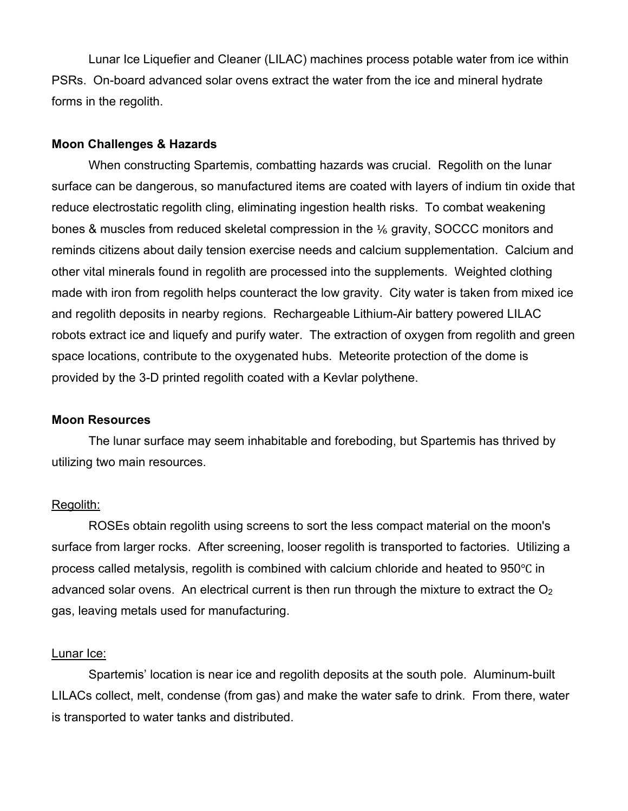Lunar Ice Liquefier and Cleaner (LILAC) machines process potable water from ice within PSRs. On-board advanced solar ovens extract the water from the ice and mineral hydrate forms in the regolith.

## **Moon Challenges & Hazards**

When constructing Spartemis, combatting hazards was crucial. Regolith on the lunar surface can be dangerous, so manufactured items are coated with layers of indium tin oxide that reduce electrostatic regolith cling, eliminating ingestion health risks. To combat weakening bones & muscles from reduced skeletal compression in the 1/6 gravity, SOCCC monitors and reminds citizens about daily tension exercise needs and calcium supplementation. Calcium and other vital minerals found in regolith are processed into the supplements. Weighted clothing made with iron from regolith helps counteract the low gravity. City water is taken from mixed ice and regolith deposits in nearby regions. Rechargeable Lithium-Air battery powered LILAC robots extract ice and liquefy and purify water. The extraction of oxygen from regolith and green space locations, contribute to the oxygenated hubs. Meteorite protection of the dome is provided by the 3-D printed regolith coated with a Kevlar polythene.

## **Moon Resources**

The lunar surface may seem inhabitable and foreboding, but Spartemis has thrived by utilizing two main resources.

## Regolith:

ROSEs obtain regolith using screens to sort the less compact material on the moon's surface from larger rocks. After screening, looser regolith is transported to factories. Utilizing a process called metalysis, regolith is combined with calcium chloride and heated to 950℃ in advanced solar ovens. An electrical current is then run through the mixture to extract the  $O<sub>2</sub>$ gas, leaving metals used for manufacturing.

## Lunar Ice:

Spartemis' location is near ice and regolith deposits at the south pole. Aluminum-built LILACs collect, melt, condense (from gas) and make the water safe to drink. From there, water is transported to water tanks and distributed.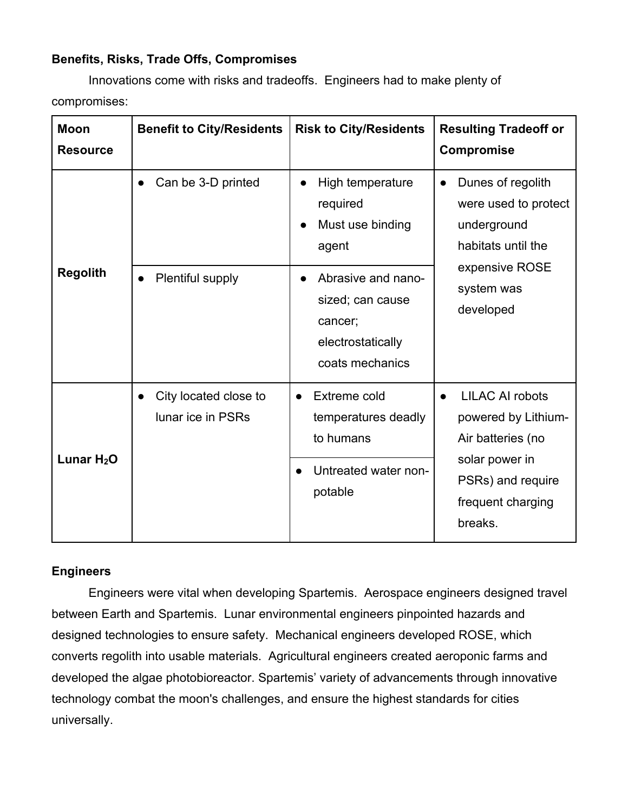# **Benefits, Risks, Trade Offs, Compromises**

Innovations come with risks and tradeoffs. Engineers had to make plenty of compromises:

| <b>Moon</b><br><b>Resource</b> | <b>Benefit to City/Residents</b>                    | <b>Risk to City/Residents</b>                                                                                                                          | <b>Resulting Tradeoff or</b><br><b>Compromise</b>                                                                                         |
|--------------------------------|-----------------------------------------------------|--------------------------------------------------------------------------------------------------------------------------------------------------------|-------------------------------------------------------------------------------------------------------------------------------------------|
| <b>Regolith</b>                | Can be 3-D printed<br>Plentiful supply<br>$\bullet$ | High temperature<br>required<br>Must use binding<br>agent<br>Abrasive and nano-<br>sized; can cause<br>cancer;<br>electrostatically<br>coats mechanics | Dunes of regolith<br>$\bullet$<br>were used to protect<br>underground<br>habitats until the<br>expensive ROSE<br>system was<br>developed  |
| Lunar $H_2O$                   | City located close to<br>lunar ice in PSRs          | Extreme cold<br>$\bullet$<br>temperatures deadly<br>to humans<br>Untreated water non-<br>potable                                                       | <b>LILAC AI robots</b><br>powered by Lithium-<br>Air batteries (no<br>solar power in<br>PSRs) and require<br>frequent charging<br>breaks. |

## **Engineers**

Engineers were vital when developing Spartemis. Aerospace engineers designed travel between Earth and Spartemis. Lunar environmental engineers pinpointed hazards and designed technologies to ensure safety. Mechanical engineers developed ROSE, which converts regolith into usable materials. Agricultural engineers created aeroponic farms and developed the algae photobioreactor. Spartemis' variety of advancements through innovative technology combat the moon's challenges, and ensure the highest standards for cities universally.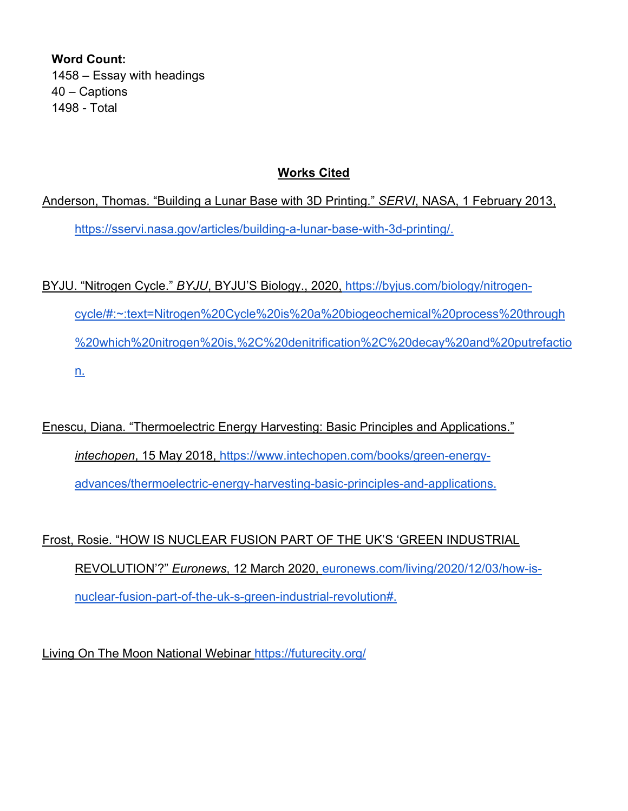**Word Count:**  1458 – Essay with headings 40 – Captions 1498 - Total

# **Works Cited**

Anderson, Thomas. "Building a Lunar Base with 3D Printing." *SERVI*, NASA, 1 February 2013, https://sservi.nasa.gov/articles/building-a-lunar-base-with-3d-printing/.

BYJU. "Nitrogen Cycle." *BYJU*, BYJU'S Biology., 2020, https://byjus.com/biology/nitrogencycle/#:~:text=Nitrogen%20Cycle%20is%20a%20biogeochemical%20process%20through %20which%20nitrogen%20is,%2C%20denitrification%2C%20decay%20and%20putrefactio n.

Enescu, Diana. "Thermoelectric Energy Harvesting: Basic Principles and Applications." *intechopen*, 15 May 2018, https://www.intechopen.com/books/green-energyadvances/thermoelectric-energy-harvesting-basic-principles-and-applications.

Frost, Rosie. "HOW IS NUCLEAR FUSION PART OF THE UK'S 'GREEN INDUSTRIAL REVOLUTION'?" *Euronews*, 12 March 2020, euronews.com/living/2020/12/03/how-isnuclear-fusion-part-of-the-uk-s-green-industrial-revolution#.

Living On The Moon National Webinar https://futurecity.org/